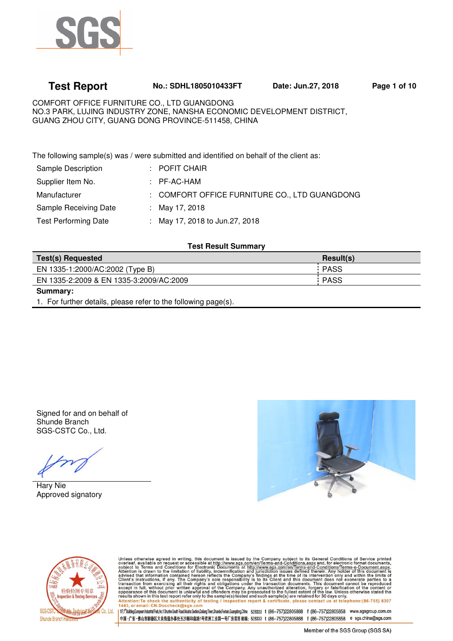

# **Test Report No.: SDHL1805010433FT Date: Jun.27, 2018 Page 1 of 10**

COMFORT OFFICE FURNITURE CO., LTD GUANGDONG NO.3 PARK, LUJING INDUSTRY ZONE, NANSHA ECONOMIC DEVELOPMENT DISTRICT, GUANG ZHOU CITY, GUANG DONG PROVINCE-511458, CHINA

The following sample(s) was / were submitted and identified on behalf of the client as:

| <b>Sample Description</b>   | $\pm$ POFIT CHAIR                             |
|-----------------------------|-----------------------------------------------|
| Supplier Item No.           | : PF-AC-HAM                                   |
| Manufacturer                | : COMFORT OFFICE FURNITURE CO., LTD GUANGDONG |
| Sample Receiving Date       | : May 17, 2018                                |
| <b>Test Performing Date</b> | : May 17, 2018 to Jun.27, 2018                |
|                             |                                               |

#### **Test Result Summary**

| <b>Test(s) Requested</b>                | Result(s)   |
|-----------------------------------------|-------------|
| EN 1335-1:2000/AC:2002 (Type B)         | <b>PASS</b> |
| EN 1335-2:2009 & EN 1335-3:2009/AC:2009 | : PASS      |

**Summary:** 

1. For further details, please refer to the following page(s).

Signed for and on behalf of Shunde Branch SGS-CSTC Co., Ltd.

Hary Nie Approved signatory





Unless otherwise agreed in writing, this document is issued by the Company subject to its General Conditions of Service printed<br>overleaf, available on request or accessible at http://www.sgs.com/en/Terms-and-Conditions.as

1fr;fbilding.European Industial Park,No.1 Sturine South Read,Wusha Section,Dalang Town,Sturide,Foshan,Guangdong,China 528333 t (86-757)22805888 f (86-757)22805858 www.sgsgroup.com.cn 中国·广东·佛山市顺德区大良街道办事处五沙顺和南路1号欧洲工业园一号厂房首层 邮编: 528333 t (86-757)22805888 f (86-757)22805858 e sgs.china@sgs.com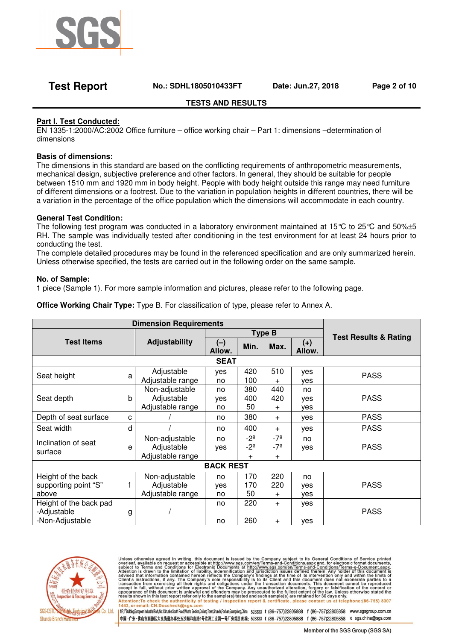

### **Test Report No.: SDHL1805010433FT Date: Jun.27, 2018 Page 2 of 10**

#### **TESTS AND RESULTS**

#### **Part I. Test Conducted:**

EN 1335-1:2000/AC:2002 Office furniture – office working chair – Part 1: dimensions –determination of dimensions

#### **Basis of dimensions:**

The dimensions in this standard are based on the conflicting requirements of anthropometric measurements, mechanical design, subjective preference and other factors. In general, they should be suitable for people between 1510 mm and 1920 mm in body height. People with body height outside this range may need furniture of different dimensions or a footrest. Due to the variation in population heights in different countries, there will be a variation in the percentage of the office population which the dimensions will accommodate in each country.

#### **General Test Condition:**

The following test program was conducted in a laboratory environment maintained at 15°C to 25°C and 50%±5 RH. The sample was individually tested after conditioning in the test environment for at least 24 hours prior to conducting the test.

The complete detailed procedures may be found in the referenced specification and are only summarized herein. Unless otherwise specified, the tests are carried out in the following order on the same sample.

#### **No. of Sample:**

1 piece (Sample 1). For more sample information and pictures, please refer to the following page.

| <b>UTTLE WOLKING CHAIL TYPE.</b> Type D. FOI GRASSING (IOT OF TYPE, DIEASE TEIER TO ATTITEX A. |   |                               |               |                              |                              |                 |                                  |
|------------------------------------------------------------------------------------------------|---|-------------------------------|---------------|------------------------------|------------------------------|-----------------|----------------------------------|
|                                                                                                |   | <b>Dimension Requirements</b> |               |                              |                              |                 |                                  |
|                                                                                                |   |                               | <b>Type B</b> |                              |                              |                 | <b>Test Results &amp; Rating</b> |
| <b>Test Items</b>                                                                              |   | Adjustability                 | (一)<br>Allow. | Min.                         | Max.                         | $(+)$<br>Allow. |                                  |
|                                                                                                |   |                               | <b>SEAT</b>   |                              |                              |                 |                                  |
| Seat height                                                                                    | a | Adjustable                    | yes           | 420                          | 510                          | yes             | <b>PASS</b>                      |
|                                                                                                |   | Adjustable range              | no.           | 100                          | $+$                          | ves             |                                  |
|                                                                                                |   | Non-adjustable                | no.           | 380                          | 440                          | no              |                                  |
| Seat depth                                                                                     | b | Adjustable                    | yes           | 400                          | 420                          | yes             | <b>PASS</b>                      |
|                                                                                                |   | Adjustable range              | no.           | 50                           | $\pm$                        | yes             |                                  |
| Depth of seat surface                                                                          | C |                               | no            | 380                          | $+$                          | yes             | <b>PASS</b>                      |
| Seat width                                                                                     | d |                               | no            | 400                          | $+$                          | yes             | <b>PASS</b>                      |
| Inclination of seat                                                                            | е | Non-adjustable<br>Adjustable  | no.<br>yes    | $-2^{\circ}$<br>$-2^{\circ}$ | $-7^{\circ}$<br>$-7^{\circ}$ | no.<br>yes      | <b>PASS</b>                      |
| surface                                                                                        |   |                               |               |                              |                              |                 |                                  |

**Office Working Chair Type:** Type B. For classification of type, please refer to Annex A.

| Inclination of seat<br>surface                           | e | Non-adjustable<br>Adjustable<br>Adjustable range | no<br>yes       | $-2^{\circ}$<br>$-2^{\circ}$<br>+ | $-7^{\circ}$<br>-7º<br>$\ddot{}$ | no<br>yes               | <b>PASS</b> |
|----------------------------------------------------------|---|--------------------------------------------------|-----------------|-----------------------------------|----------------------------------|-------------------------|-------------|
| <b>BACK REST</b>                                         |   |                                                  |                 |                                   |                                  |                         |             |
| Height of the back<br>supporting point "S"<br>above      |   | Non-adjustable<br>Adjustable<br>Adjustable range | no<br>yes<br>no | 170<br>170<br>50                  | 220<br>220<br>$\div$             | no<br>yes<br><b>ves</b> | <b>PASS</b> |
| Height of the back pad<br>-Adjustable<br>-Non-Adjustable | g |                                                  | no<br>no        | 220<br>260                        | $\ddot{}$<br>$\ddot{}$           | ves<br>ves              | <b>PASS</b> |



Unless otherwise agreed in writing, this document is issued by the Company subject to its General Conditions of Service printed<br>overleaf, available on request or accessible at http://www.sgs.com/en/Terms-and-Conditions.as 1443, or email: CN.Doccheck@sgs.com

1 ff;f<sup>6</sup>Bulding.European Industrial Park,Mo.1 Shunhe South Road,Wusha Sedion,Dalang Town,Shunde;Foshan,Guangdong,China 528333 1 (86-757)22805888 f (86-757)22805858 www.sgsgroup.com.cn 中国·广东·佛山市順德区大良街道办事处五沙顺和南路1号欧洲工业园一号厂房首层 邮编: 528333 t (86-757)22805888 f (86-757)22805858 e sgs.china@sgs.com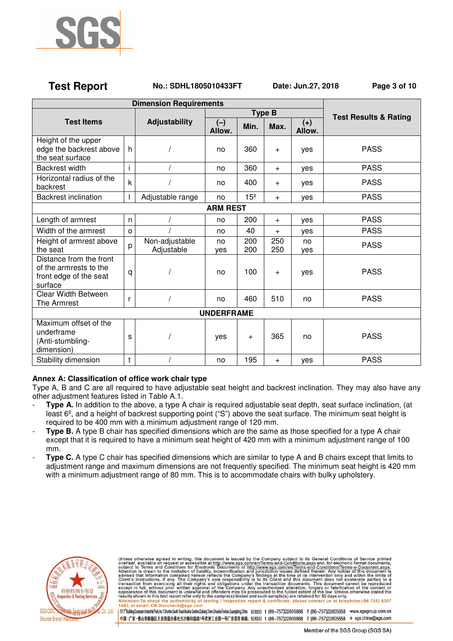

#### **Test Report No.: SDHL1805010433FT Date: Jun.27, 2018 Page 3 of 10**

| <b>Dimension Requirements</b>                                                          |         |                              |                 |                 |               |                                  |             |
|----------------------------------------------------------------------------------------|---------|------------------------------|-----------------|-----------------|---------------|----------------------------------|-------------|
|                                                                                        |         |                              |                 |                 | <b>Type B</b> | <b>Test Results &amp; Rating</b> |             |
| <b>Test Items</b>                                                                      |         | Adjustability                | $(-)$<br>Allow. | Min.            | Max.          | $(+)$<br>Allow.                  |             |
| Height of the upper<br>edge the backrest above<br>the seat surface                     | h       |                              | no              | 360             | $\ddot{}$     | yes                              | <b>PASS</b> |
| <b>Backrest width</b>                                                                  | i       |                              | no              | 360             | $+$           | yes                              | <b>PASS</b> |
| Horizontal radius of the<br>backrest                                                   | k       |                              | no              | 400             | $+$           | yes                              | <b>PASS</b> |
| <b>Backrest inclination</b>                                                            |         | Adjustable range             | no              | 15 <sup>°</sup> | $+$           | yes                              | <b>PASS</b> |
|                                                                                        |         |                              | <b>ARM REST</b> |                 |               |                                  |             |
| Length of armrest                                                                      | n       |                              | no              | 200             | $\ddot{}$     | yes                              | <b>PASS</b> |
| Width of the armrest                                                                   | $\circ$ |                              | no              | 40              | $\ddot{}$     | yes                              | <b>PASS</b> |
| Height of armrest above<br>the seat                                                    | p       | Non-adjustable<br>Adjustable | no<br>ves       | 200<br>200      | 250<br>250    | no<br>yes                        | <b>PASS</b> |
| Distance from the front<br>of the armrests to the<br>front edge of the seat<br>surface | q       |                              | no              | 100             | $+$           | yes                              | <b>PASS</b> |
| <b>Clear Width Between</b><br>The Armrest                                              | r       |                              | no              | 460             | 510           | no                               | <b>PASS</b> |
| <b>UNDERFRAME</b>                                                                      |         |                              |                 |                 |               |                                  |             |
| Maximum offset of the<br>underframe<br>(Anti-stumbling-<br>dimension)                  | s       |                              | yes             | $\ddot{}$       | 365           | no                               | <b>PASS</b> |
| Stability dimension                                                                    | t       |                              | no              | 195             | $\ddot{}$     | yes                              | <b>PASS</b> |

### **Annex A: Classification of office work chair type**

Type A, B and C are all required to have adjustable seat height and backrest inclination. They may also have any other adjustment features listed in Table A.1.

- **Type A.** In addition to the above, a type A chair is required adjustable seat depth, seat surface inclination, (at least 6<sup>°</sup>, and a height of backrest supporting point ("S") above the seat surface. The minimum seat height is required to be 400 mm with a minimum adjustment range of 120 mm.
- **Type B.** A type B chair has specified dimensions which are the same as those specified for a type A chair except that it is required to have a minimum seat height of 420 mm with a minimum adjustment range of 100 mm.
- **Type C.** A type C chair has specified dimensions which are similar to type A and B chairs except that limits to adjustment range and maximum dimensions are not frequently specified. The minimum seat height is 420 mm with a minimum adjustment range of 80 mm. This is to accommodate chairs with bulky upholstery.



Unless otherwise agreed in writing, this document is issued by the Company subject to its General Conditions of Service printed<br>overleaf, available on request or accessible at http://www.sgs.com/en/Terms-and-Conditions.as 1443, or email: CN.Doccheck@sgs.com

1 ff;f<sup>6</sup>Bulding.European Industrial Park,Mo.1 Shunhe South Road,Wusha Sedion,Dalang Town,Shunde,Foshan,Guangdong,China 528333 1 (86-757)22805888 f (86-757)22805858 www.sgsgroup.com.cn 中国·广东·佛山市順德区大良街道办事处五沙顺和南路1号欧洲工业园一号厂房首层 邮编: 528333 t (86-757)22805888 f (86-757)22805858 e sgs.china@sgs.com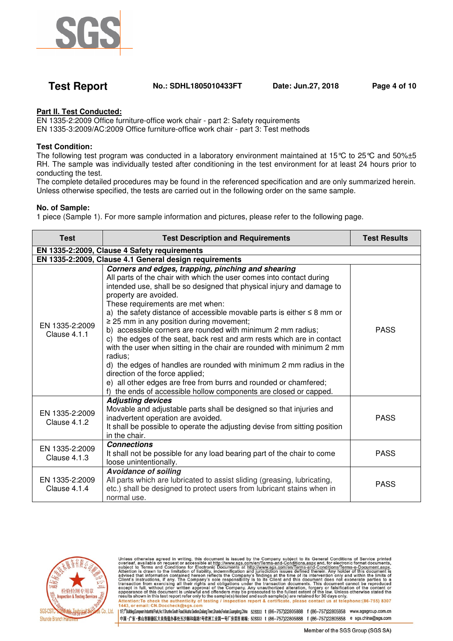

### **Test Report No.: SDHL1805010433FT Date: Jun.27, 2018 Page 4 of 10**

### **Part II. Test Conducted:**

EN 1335-2:2009 Office furniture-office work chair - part 2: Safety requirements EN 1335-3:2009/AC:2009 Office furniture-office work chair - part 3: Test methods

#### **Test Condition:**

The following test program was conducted in a laboratory environment maintained at 15°C to 25°C and 50%±5 RH. The sample was individually tested after conditioning in the test environment for at least 24 hours prior to conducting the test.

The complete detailed procedures may be found in the referenced specification and are only summarized herein. Unless otherwise specified, the tests are carried out in the following order on the same sample.

#### **No. of Sample:**

1 piece (Sample 1). For more sample information and pictures, please refer to the following page.

| <b>Test</b>                    | <b>Test Description and Requirements</b>                                                                                                                                                                                                                                                                                                                                                                                                                                                                                                                                                                                                                                                                                                                                                                                                                                         | <b>Test Results</b> |
|--------------------------------|----------------------------------------------------------------------------------------------------------------------------------------------------------------------------------------------------------------------------------------------------------------------------------------------------------------------------------------------------------------------------------------------------------------------------------------------------------------------------------------------------------------------------------------------------------------------------------------------------------------------------------------------------------------------------------------------------------------------------------------------------------------------------------------------------------------------------------------------------------------------------------|---------------------|
|                                | EN 1335-2:2009, Clause 4 Safety requirements                                                                                                                                                                                                                                                                                                                                                                                                                                                                                                                                                                                                                                                                                                                                                                                                                                     |                     |
|                                | EN 1335-2:2009, Clause 4.1 General design requirements                                                                                                                                                                                                                                                                                                                                                                                                                                                                                                                                                                                                                                                                                                                                                                                                                           |                     |
| EN 1335-2:2009<br>Clause 4.1.1 | Corners and edges, trapping, pinching and shearing<br>All parts of the chair with which the user comes into contact during<br>intended use, shall be so designed that physical injury and damage to<br>property are avoided.<br>These requirements are met when:<br>a) the safety distance of accessible movable parts is either $\leq$ 8 mm or<br>$\geq$ 25 mm in any position during movement;<br>b) accessible corners are rounded with minimum 2 mm radius;<br>c) the edges of the seat, back rest and arm rests which are in contact<br>with the user when sitting in the chair are rounded with minimum 2 mm<br>radius:<br>d) the edges of handles are rounded with minimum 2 mm radius in the<br>direction of the force applied;<br>e) all other edges are free from burrs and rounded or chamfered;<br>f) the ends of accessible hollow components are closed or capped. | <b>PASS</b>         |
| EN 1335-2:2009<br>Clause 4.1.2 | <b>Adjusting devices</b><br>Movable and adjustable parts shall be designed so that injuries and<br>inadvertent operation are avoided.<br>It shall be possible to operate the adjusting devise from sitting position<br>in the chair.                                                                                                                                                                                                                                                                                                                                                                                                                                                                                                                                                                                                                                             | <b>PASS</b>         |
| EN 1335-2:2009<br>Clause 4.1.3 | <b>Connections</b><br>It shall not be possible for any load bearing part of the chair to come<br>loose unintentionally.                                                                                                                                                                                                                                                                                                                                                                                                                                                                                                                                                                                                                                                                                                                                                          | <b>PASS</b>         |
| EN 1335-2:2009<br>Clause 4.1.4 | <b>Avoidance of soiling</b><br>All parts which are lubricated to assist sliding (greasing, lubricating,<br>etc.) shall be designed to protect users from lubricant stains when in<br>normal use.                                                                                                                                                                                                                                                                                                                                                                                                                                                                                                                                                                                                                                                                                 | <b>PASS</b>         |



Unless otherwise agreed in writing, this document is issued by the Company subject to its General Conditions of Service printed<br>overleaf, available on request or accessible at http://www.sgs.com/en/Terms-and-Conditions.as 1443, or email: CN.Doccheck@sgs.com

1/f;l\*Bulding.European Industrial Park,Mo.1 Shunhe South Road,Wusha Section,Dalang Town,Shunde;Foshan,Guangobrag,China 528333 1 (86-757)22805888 f (86-757)22805858 www.sgsgroup.com.cn 中国·广东·佛山市順德区大良街道办事处五沙顺和南路1号欧洲工业园一号厂房首层 邮编: 528333 t (86-757)22805888 f (86-757)22805858 e sgs.china@sgs.com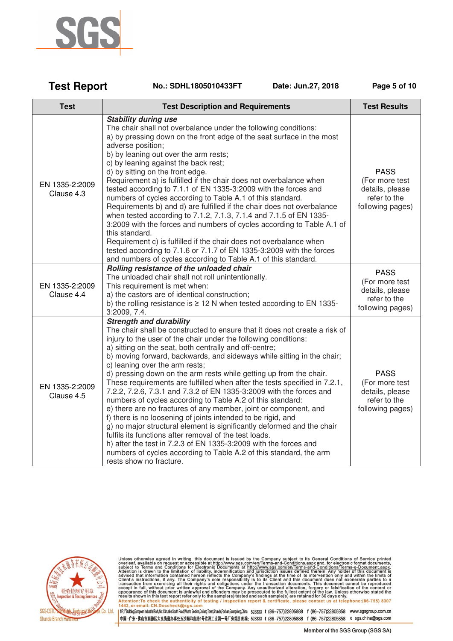

| <b>Test Report</b><br>No.: SDHL1805010433FT<br>Date: Jun.27, 2018 | Page 5 of 10 |
|-------------------------------------------------------------------|--------------|
|-------------------------------------------------------------------|--------------|

| <b>Test</b>                  | <b>Test Description and Requirements</b>                                                                                                                                                                                                                                                                                                                                                                                                                                                                                                                                                                                                                                                                                                                                                                                                                                                                                                                                                                                                                                                   | <b>Test Results</b>                                                                  |
|------------------------------|--------------------------------------------------------------------------------------------------------------------------------------------------------------------------------------------------------------------------------------------------------------------------------------------------------------------------------------------------------------------------------------------------------------------------------------------------------------------------------------------------------------------------------------------------------------------------------------------------------------------------------------------------------------------------------------------------------------------------------------------------------------------------------------------------------------------------------------------------------------------------------------------------------------------------------------------------------------------------------------------------------------------------------------------------------------------------------------------|--------------------------------------------------------------------------------------|
| EN 1335-2:2009<br>Clause 4.3 | <b>Stability during use</b><br>The chair shall not overbalance under the following conditions:<br>a) by pressing down on the front edge of the seat surface in the most<br>adverse position;<br>b) by leaning out over the arm rests;<br>c) by leaning against the back rest;<br>d) by sitting on the front edge.<br>Requirement a) is fulfilled if the chair does not overbalance when<br>tested according to 7.1.1 of EN 1335-3:2009 with the forces and<br>numbers of cycles according to Table A.1 of this standard.<br>Requirements b) and d) are fulfilled if the chair does not overbalance<br>when tested according to 7.1.2, 7.1.3, 7.1.4 and 7.1.5 of EN 1335-<br>3:2009 with the forces and numbers of cycles according to Table A.1 of<br>this standard.<br>Requirement c) is fulfilled if the chair does not overbalance when<br>tested according to 7.1.6 or 7.1.7 of EN 1335-3:2009 with the forces<br>and numbers of cycles according to Table A.1 of this standard.                                                                                                       | <b>PASS</b><br>(For more test<br>details, please<br>refer to the<br>following pages) |
| EN 1335-2:2009<br>Clause 4.4 | Rolling resistance of the unloaded chair<br>The unloaded chair shall not roll unintentionally.<br>This requirement is met when:<br>a) the castors are of identical construction;<br>b) the rolling resistance is $\geq$ 12 N when tested according to EN 1335-<br>3:2009, 7.4.                                                                                                                                                                                                                                                                                                                                                                                                                                                                                                                                                                                                                                                                                                                                                                                                             | <b>PASS</b><br>(For more test<br>details, please<br>refer to the<br>following pages) |
| EN 1335-2:2009<br>Clause 4.5 | <b>Strength and durability</b><br>The chair shall be constructed to ensure that it does not create a risk of<br>injury to the user of the chair under the following conditions:<br>a) sitting on the seat, both centrally and off-centre;<br>b) moving forward, backwards, and sideways while sitting in the chair;<br>c) leaning over the arm rests;<br>d) pressing down on the arm rests while getting up from the chair.<br>These requirements are fulfilled when after the tests specified in 7.2.1,<br>7.2.2, 7.2.6, 7.3.1 and 7.3.2 of EN 1335-3:2009 with the forces and<br>numbers of cycles according to Table A.2 of this standard:<br>e) there are no fractures of any member, joint or component, and<br>f) there is no loosening of joints intended to be rigid, and<br>g) no major structural element is significantly deformed and the chair<br>fulfils its functions after removal of the test loads.<br>h) after the test in 7.2.3 of EN 1335-3:2009 with the forces and<br>numbers of cycles according to Table A.2 of this standard, the arm<br>rests show no fracture. | <b>PASS</b><br>(For more test<br>details, please<br>refer to the<br>following pages) |



Unless otherwise agreed in writing, this document is issued by the Company subject to its General Conditions of Service printed<br>overleaf, available on request or accessible at http://www.sgs.com/en/Terms-and-Conditions.as

1 ff;f<sup>6</sup> Bulding.European Industrial Park Wo.1 Shurhe South Road, Wusha Section, Dalang Town, Shunde, Foshan, Guangdong, China 528333 1 (86-757)22805888 f (86-757)22805858 www.sgsgroup.com.cn 中国·广东·佛山市順德区大良街道办事处五沙顺和南路1号欧洲工业园一号厂房首层 邮编: 528333 t (86-757)22805888 f (86-757)22805858 e sgs.china@sgs.com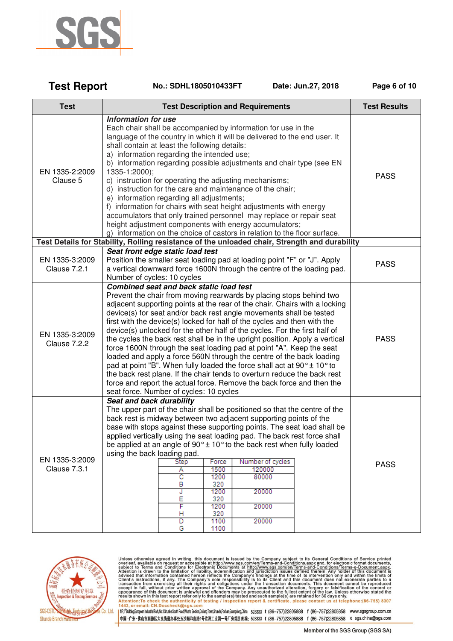

**Test Report** 

| <b>Test</b>                           | <b>Test Description and Requirements</b>                                                                                                                                                                                                                                                                                                                                                                                                                                                                                                                                                                                                                                                                                                                                                                                                                                                                                                         | <b>Test Results</b> |
|---------------------------------------|--------------------------------------------------------------------------------------------------------------------------------------------------------------------------------------------------------------------------------------------------------------------------------------------------------------------------------------------------------------------------------------------------------------------------------------------------------------------------------------------------------------------------------------------------------------------------------------------------------------------------------------------------------------------------------------------------------------------------------------------------------------------------------------------------------------------------------------------------------------------------------------------------------------------------------------------------|---------------------|
|                                       |                                                                                                                                                                                                                                                                                                                                                                                                                                                                                                                                                                                                                                                                                                                                                                                                                                                                                                                                                  |                     |
| EN 1335-2:2009<br>Clause 5            | Information for use<br>Each chair shall be accompanied by information for use in the<br>language of the country in which it will be delivered to the end user. It<br>shall contain at least the following details:<br>a) information regarding the intended use;<br>b) information regarding possible adjustments and chair type (see EN<br>1335-1:2000);<br>c) instruction for operating the adjusting mechanisms;<br>d) instruction for the care and maintenance of the chair;<br>e) information regarding all adjustments;<br>f) information for chairs with seat height adjustments with energy<br>accumulators that only trained personnel may replace or repair seat<br>height adjustment components with energy accumulators;<br>g) information on the choice of castors in relation to the floor surface.                                                                                                                                | <b>PASS</b>         |
|                                       | Test Details for Stability, Rolling resistance of the unloaded chair, Strength and durability                                                                                                                                                                                                                                                                                                                                                                                                                                                                                                                                                                                                                                                                                                                                                                                                                                                    |                     |
| EN 1335-3:2009<br><b>Clause 7.2.1</b> | Seat front edge static load test<br>Position the smaller seat loading pad at loading point "F" or "J". Apply<br>a vertical downward force 1600N through the centre of the loading pad.<br>Number of cycles: 10 cycles                                                                                                                                                                                                                                                                                                                                                                                                                                                                                                                                                                                                                                                                                                                            | <b>PASS</b>         |
| EN 1335-3:2009<br>Clause 7.2.2        | Combined seat and back static load test<br>Prevent the chair from moving rearwards by placing stops behind two<br>adjacent supporting points at the rear of the chair. Chairs with a locking<br>device(s) for seat and/or back rest angle movements shall be tested<br>first with the device(s) locked for half of the cycles and then with the<br>device(s) unlocked for the other half of the cycles. For the first half of<br>the cycles the back rest shall be in the upright position. Apply a vertical<br>force 1600N through the seat loading pad at point "A". Keep the seat<br>loaded and apply a force 560N through the centre of the back loading<br>pad at point "B". When fully loaded the force shall act at $90^{\circ}$ ± 10° to<br>the back rest plane. If the chair tends to overturn reduce the back rest<br>force and report the actual force. Remove the back force and then the<br>seat force. Number of cycles: 10 cycles | <b>PASS</b>         |
| EN 1335-3:2009<br>Clause 7.3.1        | Seat and back durability<br>The upper part of the chair shall be positioned so that the centre of the<br>back rest is midway between two adjacent supporting points of the<br>base with stops against these supporting points. The seat load shall be<br>applied vertically using the seat loading pad. The back rest force shall<br>be applied at an angle of $90^\circ \pm 10^\circ$ to the back rest when fully loaded<br>using the back loading pad.<br>Number of cycles<br>Force<br><b>Step</b><br>1500<br>120000<br>Α<br>80000<br>C<br>1200<br>В<br>320<br>20000<br>1200<br>J<br>E<br>320<br>F<br>1200<br>20000<br>320<br>н<br>1100<br>D<br>20000<br>G<br>1100                                                                                                                                                                                                                                                                             | <b>PASS</b>         |

No.: SDHL1805010433FT

Date: Jun.27, 2018

Page 6 of 10



Unless otherwise agreed in writing, this document is issued by the Company subject to its General Conditions of Service printed<br>overleaf, available on request or accessible at http://www.sgs.com/en/Terms-and-Conditions.as

1 ff;f<sup>6</sup> Bulding.European Industrial Park Wo.1 Shurhe South Road, Wusha Section, Dalang Town, Shunde, Foshan, Guangdong, China 528333 1 (86-757)22805888 f (86-757)22805858 www.sgsgroup.com.cn 中国·广东·佛山市順德区大良街道办事处五沙顺和南路1号欧洲工业园一号厂房首层 邮编:528333 t (86-757)22805888 f (86-757)22805858 e sgs.china@sgs.com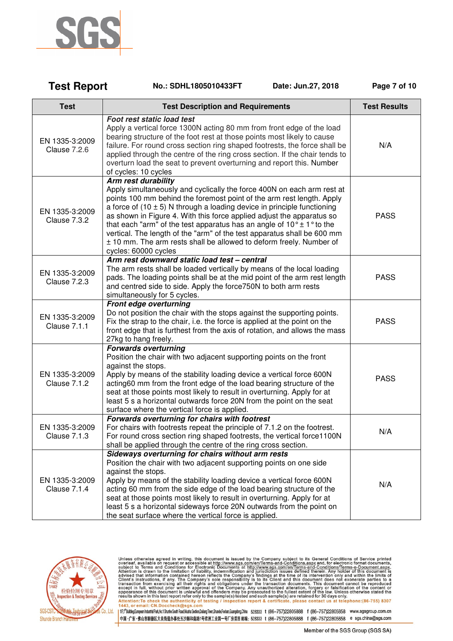

| <b>Test Report</b>                    | No.: SDHL1805010433FT                                                                                                                                                                                                                                                                                                                                                                                                                                                                                                                                                                               | Date: Jun.27, 2018 | Page 7 of 10        |
|---------------------------------------|-----------------------------------------------------------------------------------------------------------------------------------------------------------------------------------------------------------------------------------------------------------------------------------------------------------------------------------------------------------------------------------------------------------------------------------------------------------------------------------------------------------------------------------------------------------------------------------------------------|--------------------|---------------------|
| <b>Test</b>                           | <b>Test Description and Requirements</b>                                                                                                                                                                                                                                                                                                                                                                                                                                                                                                                                                            |                    | <b>Test Results</b> |
| EN 1335-3:2009<br><b>Clause 7.2.6</b> | Foot rest static load test<br>Apply a vertical force 1300N acting 80 mm from front edge of the load<br>bearing structure of the foot rest at those points most likely to cause<br>failure. For round cross section ring shaped footrests, the force shall be<br>applied through the centre of the ring cross section. If the chair tends to<br>overturn load the seat to prevent overturning and report this. Number<br>of cycles: 10 cycles                                                                                                                                                        |                    | N/A                 |
| EN 1335-3:2009<br>Clause 7.3.2        | Arm rest durability<br>Apply simultaneously and cyclically the force 400N on each arm rest at<br>points 100 mm behind the foremost point of the arm rest length. Apply<br>a force of $(10 \pm 5)$ N through a loading device in principle functioning<br>as shown in Figure 4. With this force applied adjust the apparatus so<br>that each "arm" of the test apparatus has an angle of $10^{\circ} \pm 1^{\circ}$ to the<br>vertical. The length of the "arm" of the test apparatus shall be 600 mm<br>± 10 mm. The arm rests shall be allowed to deform freely. Number of<br>cycles: 60000 cycles |                    | <b>PASS</b>         |
| EN 1335-3:2009<br><b>Clause 7.2.3</b> | Arm rest downward static load test - central<br>The arm rests shall be loaded vertically by means of the local loading<br>pads. The loading points shall be at the mid point of the arm rest length<br>and centred side to side. Apply the force 750N to both arm rests<br>simultaneously for 5 cycles.                                                                                                                                                                                                                                                                                             |                    | <b>PASS</b>         |
| EN 1335-3:2009<br><b>Clause 7.1.1</b> | Front edge overturning<br>Do not position the chair with the stops against the supporting points.<br>Fix the strap to the chair, i.e. the force is applied at the point on the<br>front edge that is furthest from the axis of rotation, and allows the mass<br>27kg to hang freely.                                                                                                                                                                                                                                                                                                                |                    | <b>PASS</b>         |
| EN 1335-3:2009<br><b>Clause 7.1.2</b> | <b>Forwards overturning</b><br>Position the chair with two adjacent supporting points on the front<br>against the stops.<br>Apply by means of the stability loading device a vertical force 600N<br>acting60 mm from the front edge of the load bearing structure of the<br>seat at those points most likely to result in overturning. Apply for at<br>least 5 s a horizontal outwards force 20N from the point on the seat<br>surface where the vertical force is applied.                                                                                                                         |                    | <b>PASS</b>         |
| EN 1335-3:2009<br>Clause 7.1.3        | Forwards overturning for chairs with footrest<br>For chairs with footrests repeat the principle of 7.1.2 on the footrest.<br>For round cross section ring shaped footrests, the vertical force1100N<br>shall be applied through the centre of the ring cross section.                                                                                                                                                                                                                                                                                                                               |                    | N/A                 |
| EN 1335-3:2009<br>Clause 7.1.4        | Sideways overturning for chairs without arm rests<br>Position the chair with two adjacent supporting points on one side<br>against the stops.<br>Apply by means of the stability loading device a vertical force 600N<br>acting 60 mm from the side edge of the load bearing structure of the<br>seat at those points most likely to result in overturning. Apply for at<br>least 5 s a horizontal sideways force 20N outwards from the point on<br>the seat surface where the vertical force is applied.                                                                                           |                    | N/A                 |



Unless otherwise agreed in writing, this document is issued by the Company subject to its General Conditions of Service printed overleaf, available on request or accessible at http://www.sgs.com/en/Terms-and-Conditions.as

1 ff;f<sup>6</sup> Bulding.European Industrial Park Wo.1 Shurhe South Road, Wusha Section, Dalang Town, Shunde, Foshan, Guangdong, China 528333 1 (86-757)22805888 f (86-757)22805858 www.sgsgroup.com.cn 中国·广东·佛山市順德区大良街道办事处五沙顺和南路1号欧洲工业园一号厂房首层 邮编: 528333 t (86-757)22805888 f (86-757)22805858 e sgs.china@sgs.com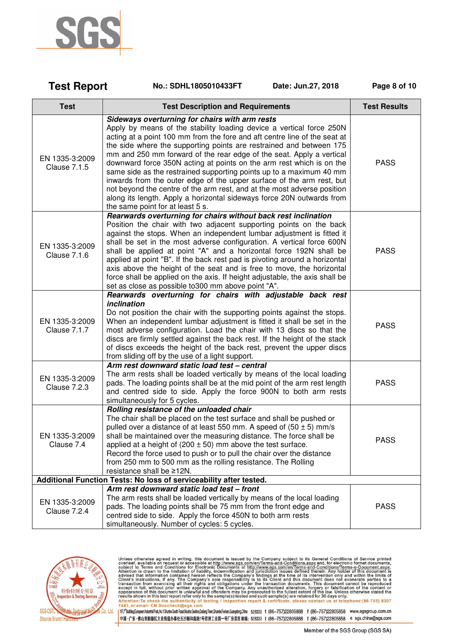

| <b>Test Report</b>                    | No.: SDHL1805010433FT<br>Date: Jun.27, 2018                                                                                                                                                                                                                                                                                                                                                                                                                                                                                                                                                                                                                                                                                                                        | Page 8 of 10        |
|---------------------------------------|--------------------------------------------------------------------------------------------------------------------------------------------------------------------------------------------------------------------------------------------------------------------------------------------------------------------------------------------------------------------------------------------------------------------------------------------------------------------------------------------------------------------------------------------------------------------------------------------------------------------------------------------------------------------------------------------------------------------------------------------------------------------|---------------------|
| <b>Test</b>                           | <b>Test Description and Requirements</b>                                                                                                                                                                                                                                                                                                                                                                                                                                                                                                                                                                                                                                                                                                                           | <b>Test Results</b> |
| EN 1335-3:2009<br><b>Clause 7.1.5</b> | Sideways overturning for chairs with arm rests<br>Apply by means of the stability loading device a vertical force 250N<br>acting at a point 100 mm from the fore and aft centre line of the seat at<br>the side where the supporting points are restrained and between 175<br>mm and 250 mm forward of the rear edge of the seat. Apply a vertical<br>downward force 350N acting at points on the arm rest which is on the<br>same side as the restrained supporting points up to a maximum 40 mm<br>inwards from the outer edge of the upper surface of the arm rest, but<br>not beyond the centre of the arm rest, and at the most adverse position<br>along its length. Apply a horizontal sideways force 20N outwards from<br>the same point for at least 5 s. | <b>PASS</b>         |
| EN 1335-3:2009<br>Clause 7.1.6        | Rearwards overturning for chairs without back rest inclination<br>Position the chair with two adjacent supporting points on the back<br>against the stops. When an independent lumbar adjustment is fitted it<br>shall be set in the most adverse configuration. A vertical force 600N<br>shall be applied at point "A" and a horizontal force 192N shall be<br>applied at point "B". If the back rest pad is pivoting around a horizontal<br>axis above the height of the seat and is free to move, the horizontal<br>force shall be applied on the axis. If height adjustable, the axis shall be<br>set as close as possible to300 mm above point "A".                                                                                                           | <b>PASS</b>         |
| EN 1335-3:2009<br>Clause 7.1.7        | Rearwards overturning for chairs with adjustable back rest<br>inclination<br>Do not position the chair with the supporting points against the stops.<br>When an independent lumbar adjustment is fitted it shall be set in the<br>most adverse configuration. Load the chair with 13 discs so that the<br>discs are firmly settled against the back rest. If the height of the stack<br>of discs exceeds the height of the back rest, prevent the upper discs<br>from sliding off by the use of a light support.                                                                                                                                                                                                                                                   | <b>PASS</b>         |
| EN 1335-3:2009<br>Clause 7.2.3        | Arm rest downward static load test - central<br>The arm rests shall be loaded vertically by means of the local loading<br>pads. The loading points shall be at the mid point of the arm rest length<br>and centred side to side. Apply the force 900N to both arm rests<br>simultaneously for 5 cycles.                                                                                                                                                                                                                                                                                                                                                                                                                                                            | <b>PASS</b>         |
| EN 1335-3:2009<br>Clause 7.4          | Rolling resistance of the unloaded chair<br>The chair shall be placed on the test surface and shall be pushed or<br>pulled over a distance of at least 550 mm. A speed of $(50 \pm 5)$ mm/s<br>shall be maintained over the measuring distance. The force shall be<br>applied at a height of (200 $\pm$ 50) mm above the test surface.<br>Record the force used to push or to pull the chair over the distance<br>from 250 mm to 500 mm as the rolling resistance. The Rolling<br>resistance shall be ≥12N.                                                                                                                                                                                                                                                        | <b>PASS</b>         |
|                                       | Additional Function Tests: No loss of serviceability after tested.                                                                                                                                                                                                                                                                                                                                                                                                                                                                                                                                                                                                                                                                                                 |                     |
| EN 1335-3:2009<br>Clause 7.2.4        | Arm rest downward static load test - front<br>The arm rests shall be loaded vertically by means of the local loading<br>pads. The loading points shall be 75 mm from the front edge and<br>centred side to side. Apply the force 450N to both arm rests<br>simultaneously. Number of cycles: 5 cycles.                                                                                                                                                                                                                                                                                                                                                                                                                                                             | <b>PASS</b>         |



Unless otherwise agreed in writing, this document is issued by the Company subject to its General Conditions of Service printed overleaf, available on request or accessible at http://www.sgs.com/en/Terms-and-Conditions.as

1 ff;f<sup>6</sup> Bulding.European Industrial Park Wo.1 Shurhe South Road, Wusha Section, Dalang Town, Shunde, Foshan, Guangdong, China 528333 1 (86-757)22805888 f (86-757)22805858 www.sgsgroup.com.cn 中国·广东·佛山市順德区大良街道办事处五沙顺和南路1号欧洲工业园一号厂房首层 邮编: 528333 t (86-757)22805888 f (86-757)22805858 e sgs.china@sgs.com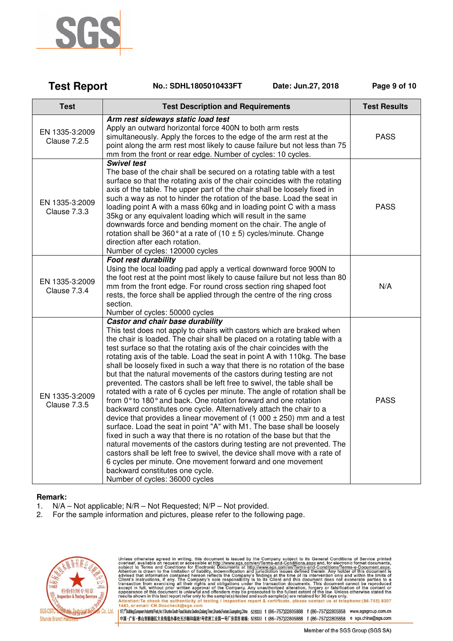

| <b>Test Report</b>                    | Date: Jun.27, 2018<br>No.: SDHL1805010433FT                                                                                                                                                                                                                                                                                                                                                                                                                                                                                                                                                                                                                                                                                                                                                                                                                                                                                                                                                                                                                                                                                                                                                                                                                                                                                         | Page 9 of 10        |
|---------------------------------------|-------------------------------------------------------------------------------------------------------------------------------------------------------------------------------------------------------------------------------------------------------------------------------------------------------------------------------------------------------------------------------------------------------------------------------------------------------------------------------------------------------------------------------------------------------------------------------------------------------------------------------------------------------------------------------------------------------------------------------------------------------------------------------------------------------------------------------------------------------------------------------------------------------------------------------------------------------------------------------------------------------------------------------------------------------------------------------------------------------------------------------------------------------------------------------------------------------------------------------------------------------------------------------------------------------------------------------------|---------------------|
| <b>Test</b>                           | <b>Test Description and Requirements</b>                                                                                                                                                                                                                                                                                                                                                                                                                                                                                                                                                                                                                                                                                                                                                                                                                                                                                                                                                                                                                                                                                                                                                                                                                                                                                            | <b>Test Results</b> |
| EN 1335-3:2009<br><b>Clause 7.2.5</b> | Arm rest sideways static load test<br>Apply an outward horizontal force 400N to both arm rests<br>simultaneously. Apply the forces to the edge of the arm rest at the<br>point along the arm rest most likely to cause failure but not less than 75<br>mm from the front or rear edge. Number of cycles: 10 cycles.                                                                                                                                                                                                                                                                                                                                                                                                                                                                                                                                                                                                                                                                                                                                                                                                                                                                                                                                                                                                                 | <b>PASS</b>         |
| EN 1335-3:2009<br>Clause 7.3.3        | <b>Swivel test</b><br>The base of the chair shall be secured on a rotating table with a test<br>surface so that the rotating axis of the chair coincides with the rotating<br>axis of the table. The upper part of the chair shall be loosely fixed in<br>such a way as not to hinder the rotation of the base. Load the seat in<br>loading point A with a mass 60kg and in loading point C with a mass<br>35kg or any equivalent loading which will result in the same<br>downwards force and bending moment on the chair. The angle of<br>rotation shall be 360 $^{\circ}$ at a rate of (10 $\pm$ 5) cycles/minute. Change<br>direction after each rotation.<br>Number of cycles: 120000 cycles                                                                                                                                                                                                                                                                                                                                                                                                                                                                                                                                                                                                                                   | <b>PASS</b>         |
| EN 1335-3:2009<br>Clause 7.3.4        | <b>Foot rest durability</b><br>Using the local loading pad apply a vertical downward force 900N to<br>the foot rest at the point most likely to cause failure but not less than 80<br>mm from the front edge. For round cross section ring shaped foot<br>rests, the force shall be applied through the centre of the ring cross<br>section.<br>Number of cycles: 50000 cycles                                                                                                                                                                                                                                                                                                                                                                                                                                                                                                                                                                                                                                                                                                                                                                                                                                                                                                                                                      | N/A                 |
| EN 1335-3:2009<br><b>Clause 7.3.5</b> | Castor and chair base durability<br>This test does not apply to chairs with castors which are braked when<br>the chair is loaded. The chair shall be placed on a rotating table with a<br>test surface so that the rotating axis of the chair coincides with the<br>rotating axis of the table. Load the seat in point A with 110kg. The base<br>shall be loosely fixed in such a way that there is no rotation of the base<br>but that the natural movements of the castors during testing are not<br>prevented. The castors shall be left free to swivel, the table shall be<br>rotated with a rate of 6 cycles per minute. The angle of rotation shall be<br>from 0° to 180° and back. One rotation forward and one rotation<br>backward constitutes one cycle. Alternatively attach the chair to a<br>device that provides a linear movement of $(1\ 000 \pm 250)$ mm and a test<br>surface. Load the seat in point "A" with M1. The base shall be loosely<br>fixed in such a way that there is no rotation of the base but that the<br>natural movements of the castors during testing are not prevented. The<br>castors shall be left free to swivel, the device shall move with a rate of<br>6 cycles per minute. One movement forward and one movement<br>backward constitutes one cycle.<br>Number of cycles: 36000 cycles | <b>PASS</b>         |

#### **Remark:**

- 1. N/A Not applicable; N/R Not Requested; N/P Not provided.
- 2. For the sample information and pictures, please refer to the following page.



Unless otherwise agreed in writing, this document is issued by the Company subject to its General Conditions of Service printed<br>overleaf, available on request or accessible at http://www.sgs.com/en/Terms-and-Conditions.as

1fr;fbilding.European Industial Park,No.1 Sturine South Read,Wusha Section,Dalang Town,Sturide,Foshan,Guangdong,China 528333 t (86-757)22805888 f (86-757)22805858 www.sgsgroup.com.cn 中国·广东·佛山市順德区大良街道办事处五沙顺和南路1号欧洲工业园一号厂房首层 邮编:528333 t (86-757)22805888 f (86-757)22805858 e sgs.china@sgs.com